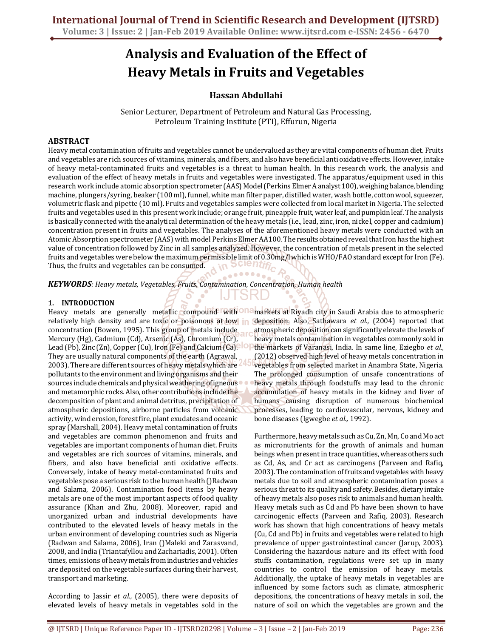# Analysis and Evaluation of the Effect of Heavy Metals in Fruits and Vegetables

# Hassan Abdullahi

Senior Lecturer, Department of Petroleum and Natural Gas Processing, Petroleum Training Institute (PTI), Effurun, Nigeria

## ABSTRACT

Heavy metal contamination of fruits and vegetables cannot be undervalued as they are vital components of human diet. Fruits and vegetables are rich sources of vitamins, minerals, and fibers, and also have beneficial anti oxidative effects. However, intake of heavy metal-contaminated fruits and vegetables is a threat to human health. In this research work, the analysis and evaluation of the effect of heavy metals in fruits and vegetables were investigated. The apparatus/equipment used in this research work include atomic absorption spectrometer (AAS) Model (Perkins Elmer A analyst 100), weighing balance, blending machine, plungers/syring, beaker (100 ml), funnel, white man filter paper, distilled water, wash bottle, cotton wool, squeezer, volumetric flask and pipette (10 ml). Fruits and vegetables samples were collected from local market in Nigeria. The selected fruits and vegetables used in this present work include; orange fruit, pineapple fruit, water leaf, and pumpkin leaf. The analysis is basically connected with the analytical determination of the heavy metals (i.e., lead, zinc, iron, nickel, copper and cadmium) concentration present in fruits and vegetables. The analyses of the aforementioned heavy metals were conducted with an Atomic Absorption spectrometer (AAS) with model Perkins Elmer AA100. The results obtained reveal that Iron has the highest value of concentration followed by Zinc in all samples analyzed. However, the concentration of metals present in the selected fruits and vegetables were below the maximum permissible limit of 0.30mg/l which is WHO/FAO standard except for Iron (Fe). Thus, the fruits and vegetables can be consumed. m וושוטס

.........

KEYWORDS: Heavy metals, Vegetables, Fruits, Contamination, Concentration, Human health

#### 1. INTRODUCTION

Heavy metals are generally metallic compound with **not markets at Riyadh city in Saudi Arabia due to atmospheric** relatively high density and are toxic or poisonous at low in concentration (Bowen, 1995). This group of metals include Mercury (Hg), Cadmium (Cd), Arsenic (As), Chromium (Cr), Lead (Pb), Zinc (Zn), Copper (Cu), Iron (Fe) and Calcium (Ca). They are usually natural components of the earth (Agrawal, 2003). There are different sources of heavy metals which are pollutants to the environment and living organisms and their sources include chemicals and physical weathering of igneous and metamorphic rocks. Also, other contributions include the decomposition of plant and animal detritus, precipitation of atmospheric depositions, airborne particles from volcanic activity, wind erosion, forest fire, plant exudates and oceanic spray (Marshall, 2004). Heavy metal contamination of fruits and vegetables are common phenomenon and fruits and vegetables are important components of human diet. Fruits and vegetables are rich sources of vitamins, minerals, and fibers, and also have beneficial anti oxidative effects. Conversely, intake of heavy metal-contaminated fruits and vegetables pose a serious risk to the human health ()Radwan and Salama, 2006). Contamination food items by heavy metals are one of the most important aspects of food quality assurance (Khan and Zhu, 2008). Moreover, rapid and unorganized urban and industrial developments have contributed to the elevated levels of heavy metals in the urban environment of developing countries such as Nigeria (Radwan and Salama, 2006), Iran ()Maleki and Zarasvand, 2008, and India (Triantafyllou and Zachariadis, 2001). Often times, emissions of heavy metals from industries and vehicles are deposited on the vegetable surfaces during their harvest, transport and marketing.

According to Jassir et al., (2005), there were deposits of elevated levels of heavy metals in vegetables sold in the

deposition. Also, Sathawara *et al.*, (2004) reported that atmospheric deposition can significantly elevate the levels of heavy metals contamination in vegetables commonly sold in the markets of Varanasi, India. In same line, Eziegbo et al., (2012) observed high level of heavy metals concentration in vegetables from selected market in Anambra State, Nigeria. The prolonged consumption of unsafe concentrations of heavy metals through foodstuffs may lead to the chronic accumulation of heavy metals in the kidney and liver of humans causing disruption of numerous biochemical processes, leading to cardiovascular, nervous, kidney and bone diseases (Igwegbe et al., 1992).

Furthermore, heavy metals such as Cu, Zn, Mn, Co and Mo act as micronutrients for the growth of animals and human beings when present in trace quantities, whereas others such as Cd, As, and Cr act as carcinogens (Parveen and Rafiq, 2003). The contamination of fruits and vegetables with heavy metals due to soil and atmospheric contamination poses a serious threat to its quality and safety. Besides, dietary intake of heavy metals also poses risk to animals and human health. Heavy metals such as Cd and Pb have been shown to have carcinogenic effects (Parveen and Rafiq, 2003). Research work has shown that high concentrations of heavy metals (Cu, Cd and Pb) in fruits and vegetables were related to high prevalence of upper gastrointestinal cancer (Jarup, 2003). Considering the hazardous nature and its effect with food stuffs contamination, regulations were set up in many countries to control the emission of heavy metals. Additionally, the uptake of heavy metals in vegetables are influenced by some factors such as climate, atmospheric depositions, the concentrations of heavy metals in soil, the nature of soil on which the vegetables are grown and the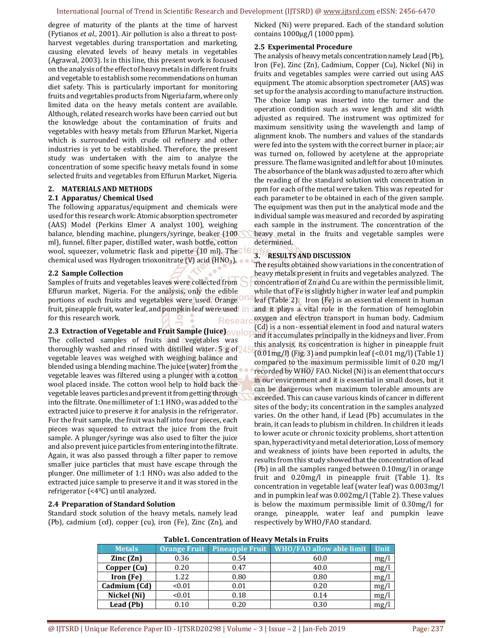degree of maturity of the plants at the time of harvest (Fytianos et al., 2001). Air pollution is also a threat to postharvest vegetables during transportation and marketing, causing elevated levels of heavy metals in vegetables (Agrawal, 2003). Is in this line, this present work is focused on the analysis of the effect of heavy metals in different fruits and vegetable to establish some recommendations on human diet safety. This is particularly important for monitoring fruits and vegetables products from Nigeria farm, where only limited data on the heavy metals content are available. Although, related research works have been carried out but the knowledge about the contamination of fruits and vegetables with heavy metals from Effurun Market, Nigeria which is surrounded with crude oil refinery and other industries is yet to be established. Therefore, the present study was undertaken with the aim to analyze the concentration of some specific heavy metals found in some selected fruits and vegetables from Effurun Market, Nigeria.

## 2. MATERIALS AND METHODS

#### 2.1 Apparatus/ Chemical Used

The following apparatus/equipment and chemicals were used for this research work: Atomic absorption spectrometer (AAS) Model (Perkins Elmer A analyst 100), weighing balance, blending machine, plungers/syringe, beaker (100 ml), funnel, filter paper, distilled water, wash bottle, cotton wool, squeezer, volumetric flask and pipette (10 ml). The CIC chemical used was Hydrogen trioxonitrate (V) acid (HNO<sub>3</sub>).  $\bullet \bullet$ 

#### 2.2 Sample Collection

Samples of fruits and vegetables leaves were collected from Effurun market, Nigeria. For the analysis, only the edible portions of each fruits and vegetables were used. Orange fruit, pineapple fruit, water leaf, and pumpkin leaf were used in for this research work.

#### 2.3 Extraction of Vegetable and Fruit Sample (Juice) avelop

The collected samples of fruits and vegetables was thoroughly washed and rinsed with distilled water. 5 g of vegetable leaves was weighed with weighing balance and blended using a blending machine. The juice (water) from the vegetable leaves was filtered using a plunger with a cotton wool placed inside. The cotton wool help to hold back the vegetable leaves particles and prevent it from getting through into the filtrate. One millimeter of  $1:1 HNO<sub>3</sub>$  was added to the extracted juice to preserve it for analysis in the refrigerator. For the fruit sample, the fruit was half into four pieces, each pieces was squeezed to extract the juice from the fruit sample. A plunger/syringe was also used to filter the juice and also prevent juice particles from entering into the filtrate. Again, it was also passed through a filter paper to remove smaller juice particles that must have escape through the plunger. One millimeter of  $1:1$  HNO<sub>3</sub> was also added to the extracted juice sample to preserve it and it was stored in the refrigerator (<40C) until analyzed.

#### 2.4 Preparation of Standard Solution

Standard stock solution of the heavy metals, namely lead (Pb), cadmium (cd), copper (cu), iron (Fe), Zinc (Zn), and Nicked (Ni) were prepared. Each of the standard solution contains 1000µg/l (1000 ppm).

#### 2.5 Experimental Procedure

The analysis of heavy metals concentration namely Lead (Pb), Iron (Fe), Zinc (Zn), Cadmium, Copper (Cu), Nickel (Ni) in fruits and vegetables samples were carried out using AAS equipment. The atomic absorption spectrometer (AAS) was set up for the analysis according to manufacture instruction. The choice lamp was inserted into the turner and the operation condition such as wave length and slit width adjusted as required. The instrument was optimized for maximum sensitivity using the wavelength and lamp of alignment knob. The numbers and values of the standards were fed into the system with the correct burner in place; air was turned on, followed by acetylene at the appropriate pressure. The flame was ignited and left for about 10 minutes. The absorbance of the blank was adjusted to zero after which the reading of the standard solution with concentration in ppm for each of the metal were taken. This was repeated for each parameter to be obtained in each of the given sample. The equipment was then put in the analytical mode and the individual sample was measured and recorded by aspirating each sample in the instrument. The concentration of the heavy metal in the fruits and vegetable samples were determined.

# 3. RESULTS AND DISCUSSION

The results obtained show variations in the concentration of heavy metals present in fruits and vegetables analyzed. The concentration of Zn and Cu are within the permissible limit, while that of Fe is slightly higher in water leaf and pumpkin leaf (Table 2). Iron (Fe) is an essential element in human and it plays a vital role in the formation of hemoglobin oxygen and electron transport in human body. Cadmium (Cd) is a non- essential element in food and natural waters and it accumulates principally in the kidneys and liver. From this analysis, its concentration is higher in pineapple fruit  $(0.01\,\text{mg/l})$  (Fig. 3) and pumpkin leaf (<0.01 mg/l) (Table 1) compared to the maximum permissible limit of 0.20 mg/l recorded by WHO/ FAO. Nickel (Ni) is an element that occurs in our environment and it is essential in small doses, but it can be dangerous when maximum tolerable amounts are exceeded. This can cause various kinds of cancer in different sites of the body; its concentration in the samples analyzed varies. On the other hand, if Lead (Pb) accumulates in the brain, it can leads to plubism in children. In children it leads to lower acute or chronic toxicity problems, short attention span, hyperactivity and metal deterioration, Loss of memory and weakness of joints have been reported in adults, the results from this study showed that the concentration of lead (Pb) in all the samples ranged between 0.10mg/l in orange fruit and 0.20mg/l in pineapple fruit (Table 1). Its concentration in vegetable leaf (water leaf) was 0.003mg/l and in pumpkin leaf was 0.002mg/l (Table 2). These values is below the maximum permissible limit of 0.30mg/l for orange, pineapple, water leaf and pumpkin leave respectively by WHO/FAO standard.

| Table L. Concentration of Heavy Metals in Fruits |        |      |                                                           |      |  |  |
|--------------------------------------------------|--------|------|-----------------------------------------------------------|------|--|--|
| <b>Metals</b>                                    |        |      | Orange Fruit   Pineapple Fruit   WHO/FAO allow able limit | Unit |  |  |
| $\text{Zinc}(\text{Zn})$                         | 0.36   | 0.54 | 60.0                                                      | mg/l |  |  |
| Copper (Cu)                                      | 0.20   | 0.47 | 40.0                                                      | mg/l |  |  |
| Iron (Fe)                                        | 1.22   | 0.80 | 0.80                                                      | mg/l |  |  |
| Cadmium (Cd)                                     | < 0.01 | 0.01 | 0.20                                                      | mg/l |  |  |
| Nickel (Ni)                                      | < 0.01 | 0.18 | 0.14                                                      | mg/l |  |  |
| Lead (Pb)                                        | 0.10   | 0.20 | 0.30                                                      | mg/  |  |  |

# Table1. Concentration of Heavy Metals in Fruits